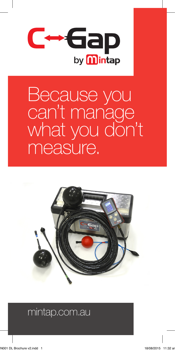

## Because you can't manage what you don't measure.



## mintap.com.au